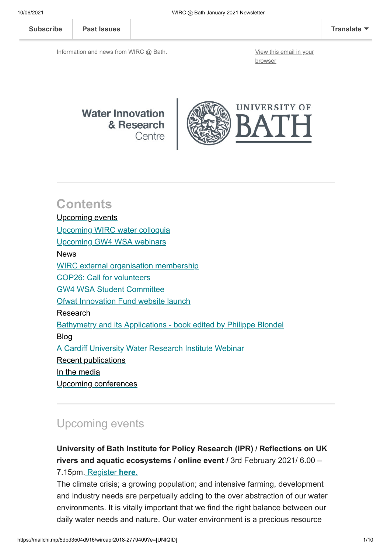Information and news from WIRC @ Bath. [View this email in your](https://mailchi.mp/5dbd3504d916/wircapr2018-2779409?e=[UNIQID])

browser



### **Contents** [Upcoming events](#page-0-0) [Upcoming WIRC water colloquia](#page-1-0) [Upcoming GW4 WSA webinars](#page-1-1) News [WIRC external organisation membership](#page-2-0) [COP26: Call for volunteers](#page-6-0) [GW4 WSA Student Committee](#page-6-1) [Ofwat Innovation Fund website launch](#page-7-0) Research [Bathymetry and its Applications - book edited by Philippe Blondel](#page-7-1) Blog [A Cardiff University Water Research Institute Webinar](#page-7-2) [Recent publications](#page-8-0) [In the media](#page-8-1) [Upcoming conferences](#page-8-2)

### <span id="page-0-0"></span>Upcoming events

**University of Bath Institute for Policy Research (IPR) / Reflections on UK rivers and aquatic ecosystems / online event /** 3rd February 2021/ 6.00 – 7.15pm. [Register](https://www.eventbrite.co.uk/e/reflections-on-uk-rivers-and-aquatic-ecosystems-tickets-88834571595) **[here.](https://www.eventbrite.co.uk/e/reflections-on-uk-rivers-and-aquatic-ecosystems-tickets-88834571595?utm-medium=discovery&utm-campaign=social&utm-content=attendeeshare&aff=escb&utm-source=cp&utm-term=listing)**

The climate crisis; a growing population; and intensive farming, development and industry needs are perpetually adding to the over abstraction of our water environments. It is vitally important that we find the right balance between our daily water needs and nature. Our water environment is a precious resource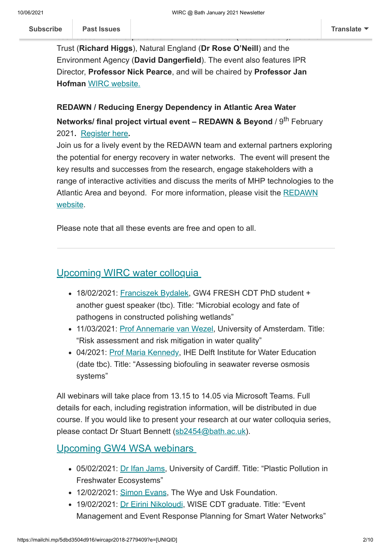Trust (**Richard Higgs**), Natural England (**Dr Rose O'Neill**) and the Environment Agency (**David Dangerfield**). The event also features IPR Director, **Professor Nick Pearce**, and will be chaired by **Professor Jan Hofman** [WIRC website.](https://www.bath.ac.uk/research-centres/water-innovation-and-research-centre-wirc-bath/)

#### **REDAWN / Reducing Energy Dependency in Atlantic Area Water**

**Networks/ final project virtual event – REDAWN & Beyond / 9<sup>th</sup> February** 2021**.** [Register here](https://eur01.safelinks.protection.outlook.com/?url=https%3A%2F%2Fwww.eventbrite.co.uk%2Fe%2Fredawn-final-event-redawn-beyond-registration-130667378647&data=04%7C01%7Cses64%40bath.ac.uk%7Cbf0f3083615b4bbe1a3e08d898449f79%7C377e3d224ea1422db0ad8fcc89406b9e%7C0%7C0%7C637426767794749589%7CUnknown%7CTWFpbGZsb3d8eyJWIjoiMC4wLjAwMDAiLCJQIjoiV2luMzIiLCJBTiI6Ik1haWwiLCJXVCI6Mn0%3D%7C1000&sdata=vWF6lUnpsymJsC7NjWYt%2B8iGRi0pH7faN%2FNAG1wcx3Q%3D&reserved=0)**.**

Join us for a lively event by the REDAWN team and external partners exploring the potential for energy recovery in water networks. The event will present the key results and successes from the research, engage stakeholders with a range of interactive activities and discuss the merits of MHP technologies to the [Atlantic Area and beyond. For more information, please visit the REDAWN](https://eur01.safelinks.protection.outlook.com/?url=https%3A%2F%2Fwww.redawn.eu%2Fredawn-and-beyond&data=04%7C01%7Cses64%40bath.ac.uk%7Cbf0f3083615b4bbe1a3e08d898449f79%7C377e3d224ea1422db0ad8fcc89406b9e%7C0%7C0%7C637426767794749589%7CUnknown%7CTWFpbGZsb3d8eyJWIjoiMC4wLjAwMDAiLCJQIjoiV2luMzIiLCJBTiI6Ik1haWwiLCJXVCI6Mn0%3D%7C1000&sdata=fWfk6Es9u48UFOZU8F9cq5%2FTcKCk2m4RiJ7Lk0g8E%2Fg%3D&reserved=0) website.

Please note that all these events are free and open to all.

### <span id="page-1-0"></span>Upcoming WIRC water colloquia

- 18/02/2021: [Franciszek](https://gw4fresh.co.uk/our-students/) Bydalek, GW4 FRESH CDT PhD student + another guest speaker (tbc). Title: "Microbial ecology and fate of pathogens in constructed polishing wetlands"
- 11/03/2021: [Prof Annemarie van](https://www.uva.nl/profiel/w/e/a.p.vanwezel/a.p.van-wezel.html) Wezel, University of Amsterdam. Title: "Risk assessment and risk mitigation in water quality"
- 04/2021: [Prof Maria Kennedy,](http://www.un-ihe.org/maria-kennedy) IHE Delft Institute for Water Education (date tbc). Title: "Assessing biofouling in seawater reverse osmosis systems"

All webinars will take place from 13.15 to 14.05 via Microsoft Teams. Full details for each, including registration information, will be distributed in due course. If you would like to present your research at our water colloquia series, please contact Dr Stuart Bennett ([sb2454@bath.ac.uk](mailto:sb2454@bath.ac.uk)).

### <span id="page-1-1"></span>Upcoming GW4 WSA webinars

- 05/02/2021: Dr Ifan [Jams](https://www.cardiff.ac.uk/people/view/1114731-jams-ifan), University of Cardiff. Title: "Plastic Pollution in Freshwater Ecosystems"
- 12/02/2021: [Simon Evans,](https://www.wyeuskfoundation.org/FAQs/simon-evans) The Wye and Usk Foundation.
- 19/02/2021: Dr Eirini [Nikoloudi,](http://wisecdt.org.uk/wise_people/eirini-nikoloudi/) WISE CDT graduate. Title: "Event Management and Event Response Planning for Smart Water Networks"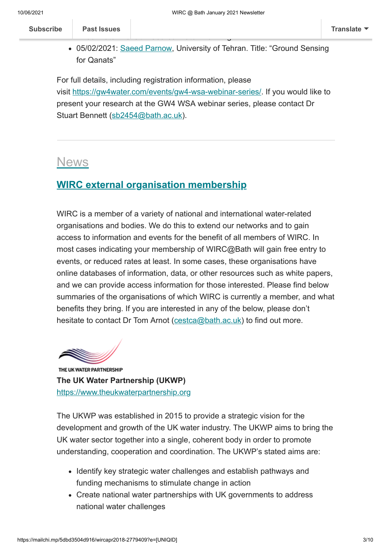| <b>Subscribe</b> | <b>Past Issues</b> |     |   |        |            |                 |                          |     | <b>Translate</b> |
|------------------|--------------------|-----|---|--------|------------|-----------------|--------------------------|-----|------------------|
|                  |                    |     |   |        | $\tilde{}$ |                 |                          |     |                  |
|                  | $\frac{1}{2}$      | --- | . | $\sim$ | -- -       | $- \cdot \cdot$ | $\overline{\phantom{a}}$ | . . |                  |

• 05/02/2021: Saeed [Parnow,](https://www.researchgate.net/profile/Saeed_Parnow) University of Tehran. Title: "Ground Sensing for Qanats"

For full details, including registration information, please visit [https://gw4water.com/events/gw4-wsa-webinar-series/.](https://gw4water.com/events/gw4-wsa-webinar-series/) If you would like to present your research at the GW4 WSA webinar series, please contact Dr Stuart Bennett ([sb2454@bath.ac.uk](mailto:sb2454@bath.ac.uk)).

### News

### <span id="page-2-0"></span>**WIRC external organisation membership**

WIRC is a member of a variety of national and international water-related organisations and bodies. We do this to extend our networks and to gain access to information and events for the benefit of all members of WIRC. In most cases indicating your membership of WIRC@Bath will gain free entry to events, or reduced rates at least. In some cases, these organisations have online databases of information, data, or other resources such as white papers, and we can provide access information for those interested. Please find below summaries of the organisations of which WIRC is currently a member, and what benefits they bring. If you are interested in any of the below, please don't hesitate to contact Dr Tom Arnot [\(cestca@bath.ac.uk](mailto:cestca@bath.ac.uk)) to find out more.

THE UK WATER PARTNERSHIP **The UK Water Partnership (UKWP)** [https://www.theukwaterpartnership.org](https://www.theukwaterpartnership.org/)

The UKWP was established in 2015 to provide a strategic vision for the development and growth of the UK water industry. The UKWP aims to bring the UK water sector together into a single, coherent body in order to promote understanding, cooperation and coordination. The UKWP's stated aims are:

- Identify key strategic water challenges and establish pathways and funding mechanisms to stimulate change in action
- Create national water partnerships with UK governments to address national water challenges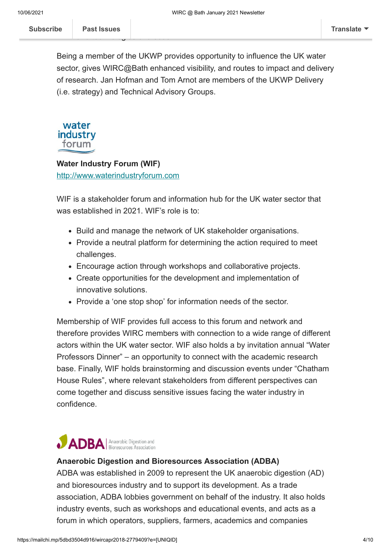Being a member of the UKWP provides opportunity to influence the UK water sector, gives WIRC@Bath enhanced visibility, and routes to impact and delivery of research. Jan Hofman and Tom Arnot are members of the UKWP Delivery (i.e. strategy) and Technical Advisory Groups.



#### **Water Industry Forum (WIF)**

[http://www.waterindustryforum.com](http://www.waterindustryforum.com/)

WIF is a stakeholder forum and information hub for the UK water sector that was established in 2021. WIF's role is to:

- Build and manage the network of UK stakeholder organisations.
- Provide a neutral platform for determining the action required to meet challenges.
- Encourage action through workshops and collaborative projects.
- Create opportunities for the development and implementation of innovative solutions.
- Provide a 'one stop shop' for information needs of the sector.

Membership of WIF provides full access to this forum and network and therefore provides WIRC members with connection to a wide range of different actors within the UK water sector. WIF also holds a by invitation annual "Water Professors Dinner" – an opportunity to connect with the academic research base. Finally, WIF holds brainstorming and discussion events under "Chatham House Rules", where relevant stakeholders from different perspectives can come together and discuss sensitive issues facing the water industry in confidence.

# **IDBA** Anaerobic Digestion and

#### **Anaerobic Digestion and Bioresources Association (ADBA)**

ADBA was established in 2009 to represent the UK anaerobic digestion (AD) and bioresources industry and to support its development. As a trade association, ADBA lobbies government on behalf of the industry. It also holds industry events, such as workshops and educational events, and acts as a forum in which operators, suppliers, farmers, academics and companies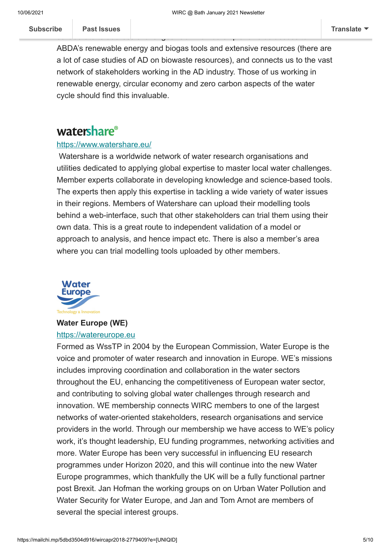ABDA's renewable energy and biogas tools and extensive resources (there are a lot of case studies of AD on biowaste resources), and connects us to the vast network of stakeholders working in the AD industry. Those of us working in renewable energy, circular economy and zero carbon aspects of the water cycle should find this invaluable.

collaborate to address challenges. Our membership allows us access to

### watershare®

#### <https://www.watershare.eu/>

Watershare is a worldwide network of water research organisations and utilities dedicated to applying global expertise to master local water challenges. Member experts collaborate in developing knowledge and science-based tools. The experts then apply this expertise in tackling a wide variety of water issues in their regions. Members of Watershare can upload their modelling tools behind a web-interface, such that other stakeholders can trial them using their own data. This is a great route to independent validation of a model or approach to analysis, and hence impact etc. There is also a member's area where you can trial modelling tools uploaded by other members.



### **Water Europe (WE)**

#### [https://watereurope.eu](https://watereurope.eu/)

Formed as WssTP in 2004 by the European Commission, Water Europe is the voice and promoter of water research and innovation in Europe. WE's missions includes improving coordination and collaboration in the water sectors throughout the EU, enhancing the competitiveness of European water sector, and contributing to solving global water challenges through research and innovation. WE membership connects WIRC members to one of the largest networks of water-oriented stakeholders, research organisations and service providers in the world. Through our membership we have access to WE's policy work, it's thought leadership, EU funding programmes, networking activities and more. Water Europe has been very successful in influencing EU research programmes under Horizon 2020, and this will continue into the new Water Europe programmes, which thankfully the UK will be a fully functional partner post Brexit. Jan Hofman the working groups on on Urban Water Pollution and Water Security for Water Europe, and Jan and Tom Arnot are members of several the special interest groups.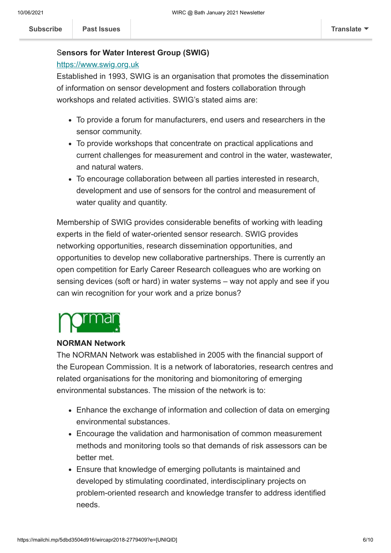#### S**ensors for Water Interest Group (SWIG)**

#### [https://www.swig.org.uk](https://www.swig.org.uk/)

Established in 1993, SWIG is an organisation that promotes the dissemination of information on sensor development and fosters collaboration through workshops and related activities. SWIG's stated aims are:

- To provide a forum for manufacturers, end users and researchers in the sensor community.
- To provide workshops that concentrate on practical applications and current challenges for measurement and control in the water, wastewater, and natural waters.
- To encourage collaboration between all parties interested in research, development and use of sensors for the control and measurement of water quality and quantity.

Membership of SWIG provides considerable benefits of working with leading experts in the field of water-oriented sensor research. SWIG provides networking opportunities, research dissemination opportunities, and opportunities to develop new collaborative partnerships. There is currently an open competition for Early Career Research colleagues who are working on sensing devices (soft or hard) in water systems – way not apply and see if you can win recognition for your work and a prize bonus?

#### **NORMAN Network**

The NORMAN Network was established in 2005 with the financial support of the European Commission. It is a network of laboratories, research centres and related organisations for the monitoring and biomonitoring of emerging environmental substances. The mission of the network is to:

- Enhance the exchange of information and collection of data on emerging environmental substances.
- Encourage the validation and harmonisation of common measurement methods and monitoring tools so that demands of risk assessors can be better met.
- Ensure that knowledge of emerging pollutants is maintained and developed by stimulating coordinated, interdisciplinary projects on problem-oriented research and knowledge transfer to address identified needs.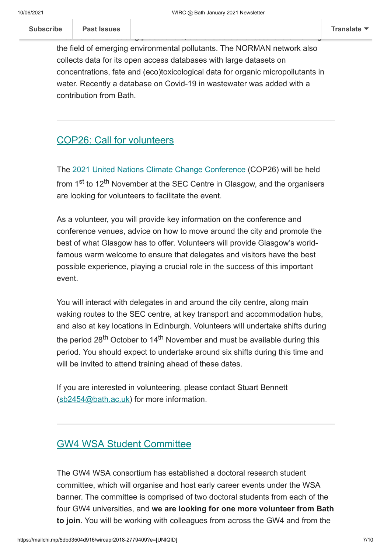the field of emerging environmental pollutants. The NORMAN network also collects data for its open access databases with large datasets on concentrations, fate and (eco)toxicological data for organic micropollutants in water. Recently a database on Covid-19 in wastewater was added with a contribution from Bath.

wide network of leading practices and researchers and researchers working in the state in the state in the sta

### <span id="page-6-0"></span>COP26: Call for volunteers

The [2021 United Nations Climate Change Conference](https://ukcop26.org/) (COP26) will be held from 1<sup>st</sup> to 12<sup>th</sup> November at the SEC Centre in Glasgow, and the organisers are looking for volunteers to facilitate the event.

As a volunteer, you will provide key information on the conference and conference venues, advice on how to move around the city and promote the best of what Glasgow has to offer. Volunteers will provide Glasgow's worldfamous warm welcome to ensure that delegates and visitors have the best possible experience, playing a crucial role in the success of this important event.

You will interact with delegates in and around the city centre, along main waking routes to the SEC centre, at key transport and accommodation hubs, and also at key locations in Edinburgh. Volunteers will undertake shifts during the period 28<sup>th</sup> October to 14<sup>th</sup> November and must be available during this period. You should expect to undertake around six shifts during this time and will be invited to attend training ahead of these dates.

If you are interested in volunteering, please contact Stuart Bennett ([sb2454@bath.ac.uk](mailto:sb2454@bath.ac.uk)) for more information.

### <span id="page-6-1"></span>GW4 WSA Student Committee

The GW4 WSA consortium has established a doctoral research student committee, which will organise and host early career events under the WSA banner. The committee is comprised of two doctoral students from each of the four GW4 universities, and **we are looking for one more volunteer from Bath to join**. You will be working with colleagues from across the GW4 and from the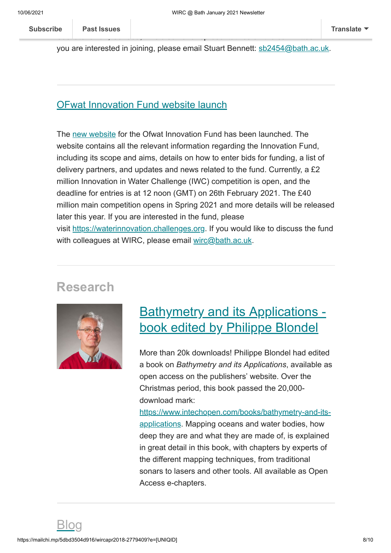you are interested in joining, please email Stuart Bennett: [sb2454@bath.ac.uk](mailto:sb2454@bath.ac.uk).

 $S$ askatchewan, Canada, who also have representatives on the committee. If  $\alpha$ 

#### <span id="page-7-0"></span>OFwat Innovation Fund website launch

The [new website](https://waterinnovation.challenges.org/) for the Ofwat Innovation Fund has been launched. The website contains all the relevant information regarding the Innovation Fund, including its scope and aims, details on how to enter bids for funding, a list of delivery partners, and updates and news related to the fund. Currently, a £2 million Innovation in Water Challenge (IWC) competition is open, and the deadline for entries is at 12 noon (GMT) on 26th February 2021. The £40 million main competition opens in Spring 2021 and more details will be released later this year. If you are interested in the fund, please visit [https://waterinnovation.challenges.org.](https://waterinnovation.challenges.org/) If you would like to discuss the fund with colleagues at WIRC, please email [wirc@bath.ac.uk](mailto:wirc@bath.ac.uk).

### **Research**



## <span id="page-7-1"></span>Bathymetry and its Applications book edited by Philippe Blondel

More than 20k downloads! Philippe Blondel had edited a book on *Bathymetry and its Applications*, available as open access on the publishers' website. Over the Christmas period, this book passed the 20,000 download mark:

<span id="page-7-2"></span>[https://www.intechopen.com/books/bathymetry-and-its](https://eur01.safelinks.protection.outlook.com/?url=https%3A%2F%2Fwww.intechopen.com%2Fbooks%2Fbathymetry-and-its-applications&data=04%7C01%7Cses64%40bath.ac.uk%7C96ba1ffb59a54dad365108d8bc6ff0c5%7C377e3d224ea1422db0ad8fcc89406b9e%7C0%7C0%7C637466536250317079%7CUnknown%7CTWFpbGZsb3d8eyJWIjoiMC4wLjAwMDAiLCJQIjoiV2luMzIiLCJBTiI6Ik1haWwiLCJXVCI6Mn0%3D%7C1000&sdata=%2F0AzWEOK74%2BtojwvBVFryLRCoK4uWH3gwTm%2Fj2Pqmu4%3D&reserved=0)applications. Mapping oceans and water bodies, how deep they are and what they are made of, is explained in great detail in this book, with chapters by experts of the different mapping techniques, from traditional sonars to lasers and other tools. All available as Open Access e-chapters.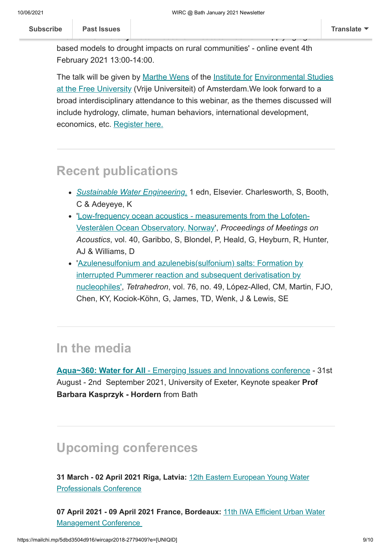based models to drought impacts on rural communities' - online event 4th February 2021 13:00-14:00.

**A C[ardiff University](https://us12.campaign-archive.com/home/?u=d7614ea34eb388bb6f0caa07a&id=d688d5b543) Water Research Institute Webinar** - 'Applying agent-

The talk will be given by [Marthe Wens](https://research.vu.nl/en/persons/marthe-wens) of the [Institute for](https://www.ivm.vu.nl/en/index.aspx) Environmental Studies at the Free University [\(Vrije Universiteit\) of Amsterdam.We look forward to a](https://www.ivm.vu.nl/en/index.aspx) broad interdisciplinary attendance to this webinar, as the themes discussed will include hydrology, climate, human behaviors, international development, economics, etc. [Register here.](https://www.eventbrite.co.uk/e/applying-agent-based-models-to-drought-impacts-on-rural-communities-tickets-137390307107)

### <span id="page-8-0"></span>**Recent publications**

- *[Sustainable Water Engineering](https://www.elsevier.com/_dynamic/product-display?isbn=978-0-12-816120-3>)*[.](https://www.elsevier.com/_dynamic/product-display?isbn=978-0-12-816120-3>) 1 edn, Elsevier. Charlesworth, S, Booth, C & Adeyeye, K
- ['Low-frequency ocean acoustics measurements from the Lofoten-](https://asa.scitation.org/doi/abs/10.1121/2.0001324)Vesterålen Ocean Observatory, Norway', *Proceedings of Meetings on Acoustics*, vol. 40, Garibbo, S, Blondel, P, Heald, G, Heyburn, R, Hunter, AJ & Williams, D
- ['Azulenesulfonium and azulenebis\(sulfonium\) salts: Formation by](https://www.sciencedirect.com/science/article/pii/S0040402020309133?via%3Dihub) interrupted Pummerer reaction and subsequent derivatisation by nucleophiles', *Tetrahedron*, vol. 76, no. 49, López-Alled, CM, Martin, FJO, Chen, KY, Kociok-Köhn, G, James, TD, Wenk, J & Lewis, SE

### <span id="page-8-1"></span>**In the media**

**Aqua~360: Water for All** [- Emerging Issues and Innovations conference](https://www.aqua360.net/) - 31st August - 2nd September 2021, University of Exeter, Keynote speaker **Prof Barbara Kasprzyk - Hordern** from Bath

### <span id="page-8-2"></span>**Upcoming conferences**

**[31 March - 02 April 2021 Riga, Latvia:](https://iwa-network.org/events/12th-eastern-european-young-water-professionals-conference-water-for-all-water-for-nature-reliable-water-supply-wastewater-treatment/)** 12th Eastern European Young Water Professionals Conference

**[07 April 2021 - 09 April 2021 France, Bordeaux:](https://iwa-network.org/events/11th-iwa-efficient-urban-water-management-conference/)** 11th IWA Efficient Urban Water Management Conference